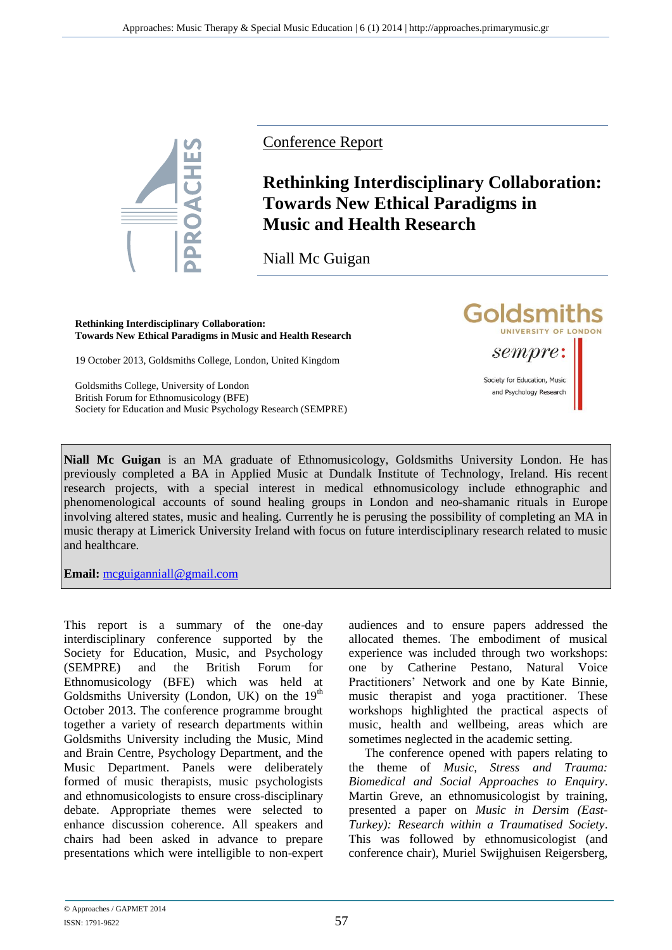

Conference Report

## **Rethinking Interdisciplinary Collaboration: Towards New Ethical Paradigms in Music and Health Research**

**Goldsmiths** 

sempre:

Society for Education, Music and Psychology Research

UNIVERSITY OF LONDON

Niall Mc Guigan

**Rethinking Interdisciplinary Collaboration: Towards New Ethical Paradigms in Music and Health Research**

19 October 2013, Goldsmiths College, London, United Kingdom

Goldsmiths College, University of London British Forum for Ethnomusicology (BFE) Society for Education and Music Psychology Research (SEMPRE)

**Niall Mc Guigan** is an MA graduate of Ethnomusicology, Goldsmiths University London. He has previously completed a BA in Applied Music at Dundalk Institute of Technology, Ireland. His recent research projects, with a special interest in medical ethnomusicology include ethnographic and phenomenological accounts of sound healing groups in London and neo-shamanic rituals in Europe involving altered states, music and healing. Currently he is perusing the possibility of completing an MA in music therapy at Limerick University Ireland with focus on future interdisciplinary research related to music and healthcare.

**Email:** [mcguiganniall@gmail.com](mailto:mcguiganniall@gmail.com)

This report is a summary of the one-day interdisciplinary conference supported by the Society for Education, Music, and Psychology (SEMPRE) and the British Forum for Ethnomusicology (BFE) which was held at Goldsmiths University (London, UK) on the  $19<sup>th</sup>$ October 2013. The conference programme brought together a variety of research departments within Goldsmiths University including the Music, Mind and Brain Centre, Psychology Department, and the Music Department. Panels were deliberately formed of music therapists, music psychologists and ethnomusicologists to ensure cross-disciplinary debate. Appropriate themes were selected to enhance discussion coherence. All speakers and chairs had been asked in advance to prepare presentations which were intelligible to non-expert

audiences and to ensure papers addressed the allocated themes. The embodiment of musical experience was included through two workshops: one by Catherine Pestano, Natural Voice Practitioners' Network and one by Kate Binnie, music therapist and yoga practitioner. These workshops highlighted the practical aspects of music, health and wellbeing, areas which are sometimes neglected in the academic setting.

The conference opened with papers relating to the theme of *Music, Stress and Trauma: Biomedical and Social Approaches to Enquiry*. Martin Greve, an ethnomusicologist by training, presented a paper on *Music in Dersim (East-Turkey): Research within a Traumatised Society*. This was followed by ethnomusicologist (and conference chair), Muriel Swijghuisen Reigersberg,